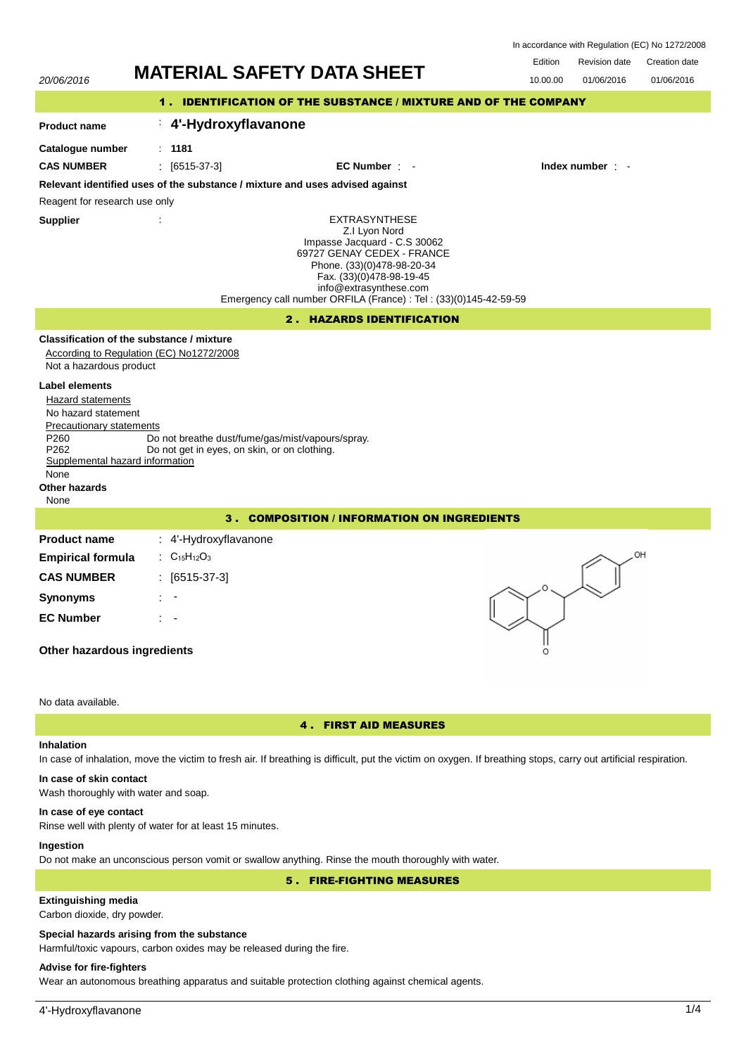|                                                                                                                                                |                       |                                                                                                  | <b>MATERIAL SAFETY DATA SHEET</b>                                                                                                                                                                                                                            | Edition<br>10.00.00 | 01/06/2016       | 01/06/2016 |
|------------------------------------------------------------------------------------------------------------------------------------------------|-----------------------|--------------------------------------------------------------------------------------------------|--------------------------------------------------------------------------------------------------------------------------------------------------------------------------------------------------------------------------------------------------------------|---------------------|------------------|------------|
|                                                                                                                                                |                       |                                                                                                  | 1. IDENTIFICATION OF THE SUBSTANCE / MIXTURE AND OF THE COMPANY                                                                                                                                                                                              |                     |                  |            |
| <b>Product name</b>                                                                                                                            |                       | 4'-Hydroxyflavanone                                                                              |                                                                                                                                                                                                                                                              |                     |                  |            |
| Catalogue number                                                                                                                               | : 1181                |                                                                                                  |                                                                                                                                                                                                                                                              |                     |                  |            |
| <b>CAS NUMBER</b>                                                                                                                              | $: [6515-37-3]$       |                                                                                                  | EC Number : -                                                                                                                                                                                                                                                |                     | Index number : - |            |
| Relevant identified uses of the substance / mixture and uses advised against                                                                   |                       |                                                                                                  |                                                                                                                                                                                                                                                              |                     |                  |            |
| Reagent for research use only                                                                                                                  |                       |                                                                                                  |                                                                                                                                                                                                                                                              |                     |                  |            |
| <b>Supplier</b>                                                                                                                                | ÷                     |                                                                                                  | <b>EXTRASYNTHESE</b><br>Z.I Lyon Nord<br>Impasse Jacquard - C.S 30062<br>69727 GENAY CEDEX - FRANCE<br>Phone. (33)(0)478-98-20-34<br>Fax. (33)(0)478-98-19-45<br>info@extrasynthese.com<br>Emergency call number ORFILA (France) : Tel : (33)(0)145-42-59-59 |                     |                  |            |
|                                                                                                                                                |                       |                                                                                                  | 2. HAZARDS IDENTIFICATION                                                                                                                                                                                                                                    |                     |                  |            |
| Not a hazardous product                                                                                                                        |                       |                                                                                                  |                                                                                                                                                                                                                                                              |                     |                  |            |
| <b>Hazard statements</b><br>No hazard statement<br>Precautionary statements<br>P260<br>P262<br>Supplemental hazard information<br>None<br>None |                       | Do not breathe dust/fume/gas/mist/vapours/spray.<br>Do not get in eyes, on skin, or on clothing. |                                                                                                                                                                                                                                                              |                     |                  |            |
| <b>Label elements</b><br>Other hazards                                                                                                         |                       |                                                                                                  | 3. COMPOSITION / INFORMATION ON INGREDIENTS                                                                                                                                                                                                                  |                     |                  |            |
| <b>Product name</b>                                                                                                                            | : 4'-Hydroxyflavanone |                                                                                                  |                                                                                                                                                                                                                                                              |                     |                  |            |
|                                                                                                                                                | : $C_{15}H_{12}O_3$   |                                                                                                  |                                                                                                                                                                                                                                                              |                     |                  | OH         |
| <b>CAS NUMBER</b>                                                                                                                              | $[6515-37-3]$         |                                                                                                  |                                                                                                                                                                                                                                                              |                     |                  |            |
| <b>Empirical formula</b><br><b>Synonyms</b>                                                                                                    |                       |                                                                                                  |                                                                                                                                                                                                                                                              | O                   |                  |            |

# 4 . FIRST AID MEASURES

# **Inhalation**

In case of inhalation, move the victim to fresh air. If breathing is difficult, put the victim on oxygen. If breathing stops, carry out artificial respiration.

# **In case of skin contact**

Wash thoroughly with water and soap.

# **In case of eye contact**

Rinse well with plenty of water for at least 15 minutes.

# **Ingestion**

Do not make an unconscious person vomit or swallow anything. Rinse the mouth thoroughly with water.

5 . FIRE-FIGHTING MEASURES

# **Extinguishing media**

Carbon dioxide, dry powder.

# **Special hazards arising from the substance**

Harmful/toxic vapours, carbon oxides may be released during the fire.

# **Advise for fire-fighters**

Wear an autonomous breathing apparatus and suitable protection clothing against chemical agents.

# 01/06/2016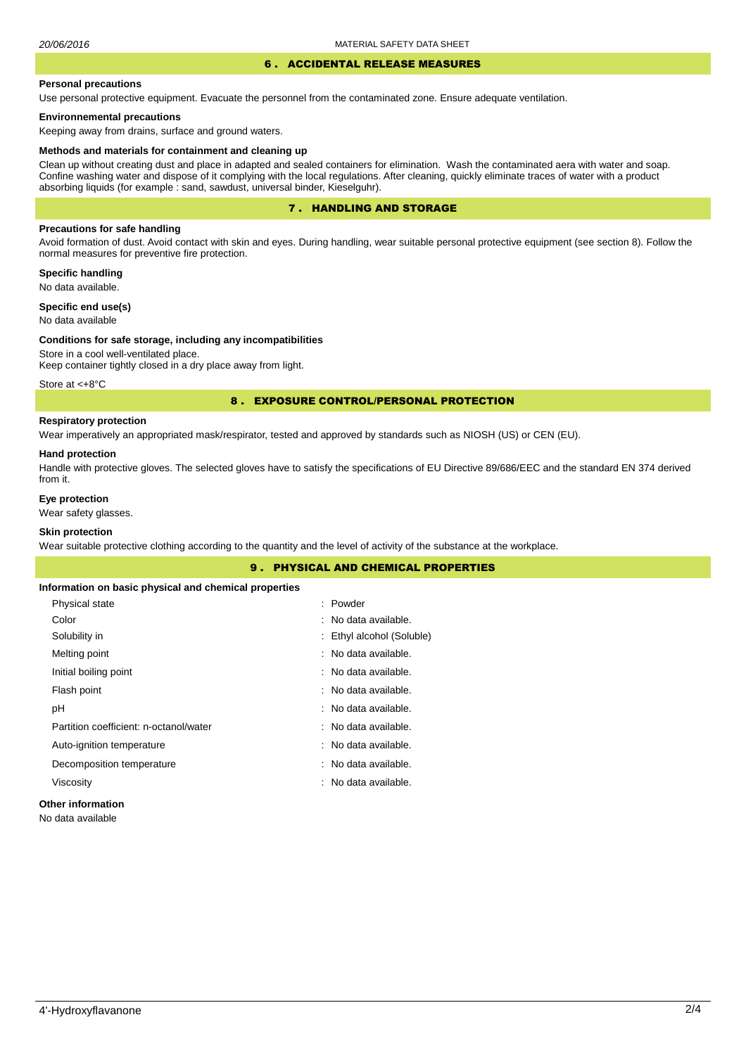# 6 . ACCIDENTAL RELEASE MEASURES

#### **Personal precautions**

Use personal protective equipment. Evacuate the personnel from the contaminated zone. Ensure adequate ventilation.

## **Environnemental precautions**

Keeping away from drains, surface and ground waters.

#### **Methods and materials for containment and cleaning up**

Clean up without creating dust and place in adapted and sealed containers for elimination. Wash the contaminated aera with water and soap. Confine washing water and dispose of it complying with the local regulations. After cleaning, quickly eliminate traces of water with a product absorbing liquids (for example : sand, sawdust, universal binder, Kieselguhr).

# 7 . HANDLING AND STORAGE

# **Precautions for safe handling**

Avoid formation of dust. Avoid contact with skin and eyes. During handling, wear suitable personal protective equipment (see section 8). Follow the normal measures for preventive fire protection.

**Specific handling** No data available.

**Specific end use(s)**

# No data available

#### **Conditions for safe storage, including any incompatibilities**

Store in a cool well-ventilated place. Keep container tightly closed in a dry place away from light.

Store at <+8°C

## 8 . EXPOSURE CONTROL/PERSONAL PROTECTION

# **Respiratory protection**

Wear imperatively an appropriated mask/respirator, tested and approved by standards such as NIOSH (US) or CEN (EU).

#### **Hand protection**

Handle with protective gloves. The selected gloves have to satisfy the specifications of EU Directive 89/686/EEC and the standard EN 374 derived from it.

# **Eye protection**

Wear safety glasses.

# **Skin protection**

Wear suitable protective clothing according to the quantity and the level of activity of the substance at the workplace.

|                                                       | <b>9. PHYSICAL AND CHEMICAL PROPERTIES</b> |  |  |  |  |
|-------------------------------------------------------|--------------------------------------------|--|--|--|--|
| Information on basic physical and chemical properties |                                            |  |  |  |  |
| Physical state                                        | : Powder                                   |  |  |  |  |
| Color                                                 | : No data available.                       |  |  |  |  |
| Solubility in                                         | : Ethyl alcohol (Soluble)                  |  |  |  |  |
| Melting point                                         | : No data available.                       |  |  |  |  |
| Initial boiling point                                 | : No data available.                       |  |  |  |  |
| Flash point                                           | : No data available.                       |  |  |  |  |
| рH                                                    | : No data available.                       |  |  |  |  |
| Partition coefficient: n-octanol/water                | : No data available.                       |  |  |  |  |
| Auto-ignition temperature                             | : No data available.                       |  |  |  |  |
| Decomposition temperature                             | : No data available.                       |  |  |  |  |
| Viscosity                                             | : No data available.                       |  |  |  |  |
| <b>Other information</b>                              |                                            |  |  |  |  |

No data available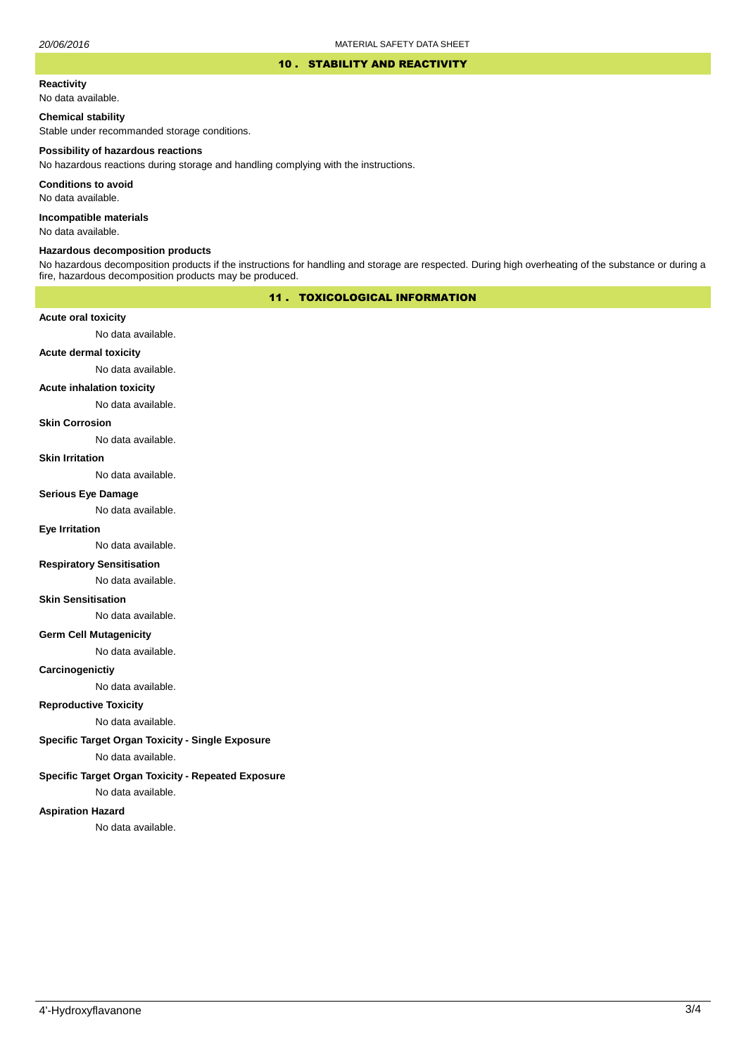#### 10 . STABILITY AND REACTIVITY

#### **Reactivity**

No data available.

## **Chemical stability**

Stable under recommanded storage conditions.

#### **Possibility of hazardous reactions**

No hazardous reactions during storage and handling complying with the instructions.

**Conditions to avoid**

No data available.

**Incompatible materials**

No data available.

#### **Hazardous decomposition products**

No hazardous decomposition products if the instructions for handling and storage are respected. During high overheating of the substance or during a fire, hazardous decomposition products may be produced.

# 11 . TOXICOLOGICAL INFORMATION

## **Acute oral toxicity**

No data available.

# **Acute dermal toxicity**

No data available.

## **Acute inhalation toxicity**

No data available.

## **Skin Corrosion**

No data available.

#### **Skin Irritation**

No data available.

#### **Serious Eye Damage**

No data available.

# **Eye Irritation**

No data available.

## **Respiratory Sensitisation**

No data available.

#### **Skin Sensitisation**

No data available.

## **Germ Cell Mutagenicity**

No data available.

## **Carcinogenictiy**

No data available.

# **Reproductive Toxicity**

No data available.

# **Specific Target Organ Toxicity - Single Exposure**

No data available.

# **Specific Target Organ Toxicity - Repeated Exposure**

No data available.

#### **Aspiration Hazard**

No data available.